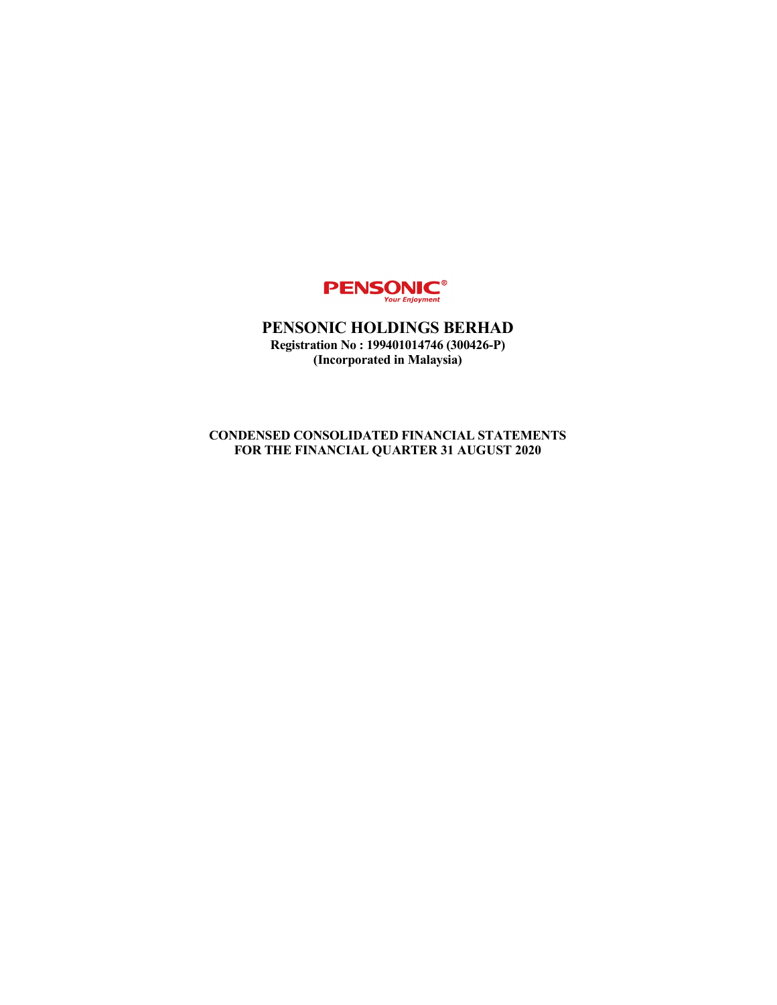

PENSONIC HOLDINGS BERHAD Registration No : 199401014746 (300426-P) (Incorporated in Malaysia)

CONDENSED CONSOLIDATED FINANCIAL STATEMENTS FOR THE FINANCIAL QUARTER 31 AUGUST 2020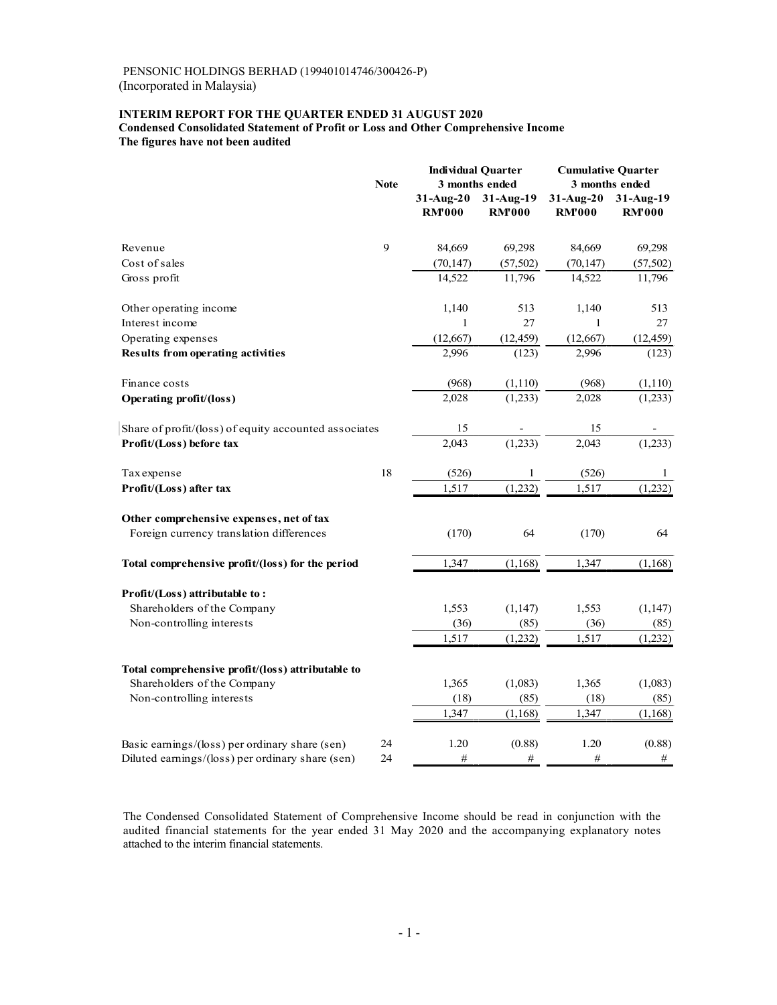## INTERIM REPORT FOR THE QUARTER ENDED 31 AUGUST 2020 Condensed Consolidated Statement of Profit or Loss and Other Comprehensive Income

| INTERIM REPORT FOR THE QUARTER ENDED 31 AUGUST 2020<br><b>Condensed Consolidated Statement of Profit or Loss and Other Comprehensive Income</b> |              |                                             |                            |                                             |                            |
|-------------------------------------------------------------------------------------------------------------------------------------------------|--------------|---------------------------------------------|----------------------------|---------------------------------------------|----------------------------|
| The figures have not been audited                                                                                                               |              |                                             |                            |                                             |                            |
|                                                                                                                                                 | <b>Note</b>  | <b>Individual Quarter</b><br>3 months ended |                            | <b>Cumulative Quarter</b><br>3 months ended |                            |
|                                                                                                                                                 |              | $31$ -Aug-20<br><b>RM'000</b>               | 31-Aug-19<br><b>RM'000</b> | $31$ -Aug-20<br><b>RM'000</b>               | 31-Aug-19<br><b>RM'000</b> |
| Revenue<br>Cost of sales                                                                                                                        | 9            | 84,669<br>(70, 147)                         | 69,298<br>(57, 502)        | 84,669<br>(70, 147)                         | 69,298<br>(57, 502)        |
| Gross profit                                                                                                                                    |              | 14,522                                      | 11,796                     | 14,522                                      | 11,796                     |
| Other operating income<br>Interest income                                                                                                       |              | 1,140                                       | 513<br>27                  | 1,140<br>-1                                 | 513<br>27                  |
| Operating expenses                                                                                                                              |              | (12,667)                                    | (12, 459)                  | (12, 667)                                   | (12, 459)                  |
| <b>Results from operating activities</b>                                                                                                        |              | 2,996                                       | (123)                      | 2,996                                       | (123)                      |
| Finance costs<br><b>Operating profit/(loss)</b>                                                                                                 |              | (968)<br>2,028                              | (1,110)<br>(1,233)         | (968)<br>2,028                              | (1,110)<br>(1,233)         |
| Share of profit/(loss) of equity accounted associates<br>Profit/(Loss) before tax                                                               |              | 15<br>2,043                                 | $\blacksquare$<br>(1,233)  | 15<br>2,043                                 | $\sim$<br>(1,233)          |
| Taxexpense                                                                                                                                      | 18           | (526)                                       | 1                          | (526)                                       | $\mathbf{1}$               |
| Profit/(Loss) after tax                                                                                                                         |              | 1,517                                       | (1,232)                    | 1,517                                       | (1,232)                    |
| Other comprehensive expenses, net of tax<br>Foreign currency translation differences                                                            |              | (170)                                       | 64                         | (170)                                       | 64                         |
| Total comprehensive profit/(loss) for the period                                                                                                |              | 1,347                                       | (1,168)                    | 1,347                                       | (1,168)                    |
| Profit/(Loss) attributable to:                                                                                                                  |              |                                             |                            |                                             |                            |
| Shareholders of the Company                                                                                                                     |              | 1,553                                       | (1,147)                    | 1,553                                       | (1,147)                    |
| Non-controlling interests                                                                                                                       |              | (36)<br>1,517                               | (85)<br>(1,232)            | (36)<br>1,517                               | (85)<br>(1,232)            |
|                                                                                                                                                 |              |                                             |                            |                                             |                            |
| Total comprehensive profit/(loss) attributable to<br>Shareholders of the Company                                                                |              | 1,365                                       | (1,083)                    | 1,365                                       | (1,083)                    |
| Non-controlling interests                                                                                                                       |              | (18)<br>1,347                               | (85)<br>(1, 168)           | (18)<br>1,347                               | (85)<br>(1,168)            |
|                                                                                                                                                 |              |                                             |                            |                                             |                            |
| Basic earnings/(loss) per ordinary share (sen)<br>Diluted earnings/(loss) per ordinary share (sen)                                              | 24<br>$24\,$ | 1.20<br>$\#$                                | (0.88)<br>$\#$             | 1.20<br>$\#$                                | (0.88)<br>$\#$             |

The Condensed Consolidated Statement of Comprehensive Income should be read in conjunction with the audited financial statements for the year ended 31 May 2020 and the accompanying explanatory notes attached to the interim financial statements.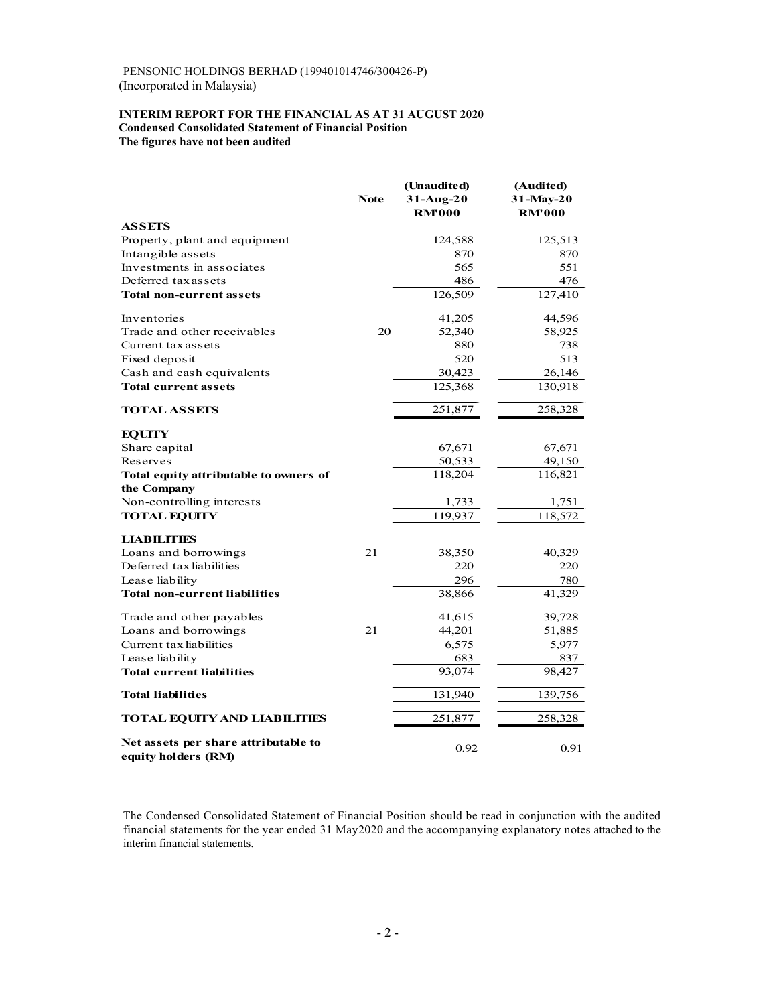### INTERIM REPORT FOR THE FINANCIAL AS AT 31 AUGUST 2020 Condensed Consolidated Statement of Financial Position The figures have not been audited

| PENSONIC HOLDINGS BERHAD (199401014746/300426-P)<br>(Incorporated in Malaysia)                     |             |                          |                        |
|----------------------------------------------------------------------------------------------------|-------------|--------------------------|------------------------|
|                                                                                                    |             |                          |                        |
|                                                                                                    |             |                          |                        |
| INTERIM REPORT FOR THE FINANCIAL AS AT 31 AUGUST 2020                                              |             |                          |                        |
| <b>Condensed Consolidated Statement of Financial Position</b><br>The figures have not been audited |             |                          |                        |
|                                                                                                    |             |                          |                        |
|                                                                                                    |             |                          |                        |
|                                                                                                    | <b>Note</b> | (Unaudited)<br>31-Aug-20 | (Audited)<br>31-May-20 |
|                                                                                                    |             | <b>RM'000</b>            | <b>RM'000</b>          |
| <b>ASSETS</b><br>Property, plant and equipment                                                     |             | 124,588                  | 125,513                |
| Intangible assets                                                                                  |             | 870                      | 870                    |
| Investments in associates<br>Deferred tax assets                                                   |             | 565<br>486               | 551<br>476             |
| Total non-current assets                                                                           |             | 126,509                  | 127,410                |
| Inventories                                                                                        |             | 41,205                   | 44,596                 |
| Trade and other receivables                                                                        | 20          | 52,340                   | 58,925                 |
| Current tax assets                                                                                 |             | 880                      | 738                    |
| Fixed deposit<br>Cash and cash equivalents                                                         |             | 520<br>30,423            | 513<br>26,146          |
| Total current assets                                                                               |             | 125,368                  | 130,918                |
| <b>TOTAL ASSETS</b>                                                                                |             | 251,877                  | 258,328                |
| <b>EQUITY</b>                                                                                      |             |                          |                        |
| Share capital                                                                                      |             | 67,671                   | 67,671                 |
| Reserves<br>Total equity attributable to owners of                                                 |             | 50,533<br>118,204        | 49,150<br>116,821      |
| the Company                                                                                        |             |                          |                        |
| Non-controlling interests                                                                          |             | 1,733                    | 1,751                  |
| <b>TOTAL EQUITY</b>                                                                                |             | 119,937                  | 118,572                |
| <b>LIABILITIES</b>                                                                                 |             |                          |                        |
| Loans and borrowings<br>Deferred tax liabilities                                                   | 21          | 38,350<br>220            | 40,329<br>220          |
| Lease liability                                                                                    |             | 296                      | 780                    |
| <b>Total non-current liabilities</b>                                                               |             | 38,866                   | 41,329                 |
| Trade and other payables                                                                           |             | 41,615                   | 39,728                 |
| Loans and borrowings<br>Current tax liabilities                                                    | 21          | 44,201<br>6,575          | 51,885<br>5,977        |
| Lease liability                                                                                    |             | 683                      | 837                    |
| <b>Total current liabilities</b>                                                                   |             | 93,074                   | 98,427                 |
| <b>Total liabilities</b>                                                                           |             | 131,940                  | 139,756                |
| <b>TOTAL EQUITY AND LIABILITIES</b>                                                                |             | 251,877                  | 258,328                |
| Net assets per share attributable to                                                               |             | 0.92                     | 0.91                   |

The Condensed Consolidated Statement of Financial Position should be read in conjunction with the audited financial statements for the year ended 31 May2020 and the accompanying explanatory notes attached to the interim financial statements.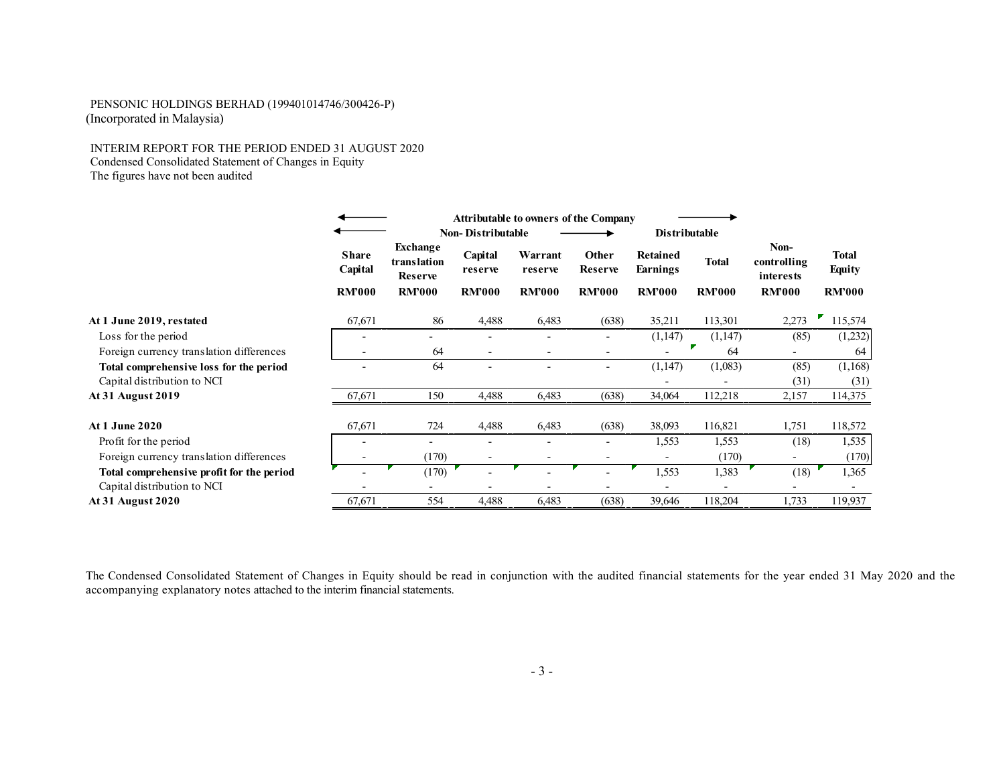#### INTERIM REPORT FOR THE PERIOD ENDED 31 AUGUST 2020 Condensed Consolidated Statement of Changes in Equity The figures have not been audited

| PENSONIC HOLDINGS BERHAD (199401014746/300426-P)<br>(Incorporated in Malaysia)                                                                   |                          |                                                  |                          |                                              |                          |                          |                    |                                  |                               |
|--------------------------------------------------------------------------------------------------------------------------------------------------|--------------------------|--------------------------------------------------|--------------------------|----------------------------------------------|--------------------------|--------------------------|--------------------|----------------------------------|-------------------------------|
| INTERIM REPORT FOR THE PERIOD ENDED 31 AUGUST 2020<br>Condensed Consolidated Statement of Changes in Equity<br>The figures have not been audited |                          |                                                  |                          |                                              |                          |                          |                    |                                  |                               |
|                                                                                                                                                  |                          |                                                  | <b>Non-Distributable</b> | <b>Attributable to owners of the Company</b> |                          | Distributable            |                    |                                  |                               |
|                                                                                                                                                  | <b>Share</b><br>Capital  | <b>Exchange</b><br>translation<br><b>Reserve</b> | Capital<br>reserve       | Warrant<br>reserve                           | Other<br>Reserve         | Retained<br>Earnings     | <b>Total</b>       | Non-<br>controlling<br>interests | <b>Total</b><br><b>Equity</b> |
|                                                                                                                                                  | <b>RM'000</b>            | <b>RM'000</b>                                    | <b>RM'000</b>            | <b>RM?000</b>                                | <b>RM'000</b>            | <b>RM'000</b>            | <b>RM'000</b>      | <b>RM'000</b>                    | <b>RM'000</b>                 |
| At 1 June 2019, restated                                                                                                                         | 67,671                   | 86                                               | 4,488                    | 6,483                                        | (638)                    | 35,211                   | 113,301            | 2,273                            | F,<br>115,574                 |
| Loss for the period                                                                                                                              | $\overline{a}$           | $\overline{a}$                                   | $\sim$                   | $\sim$                                       | $\sim$                   | (1,147)                  | (1,147)            | (85)                             | (1,232)                       |
| Foreign currency translation differences                                                                                                         | $\sim$                   | 64                                               | $\sim$                   | $\sim$                                       | $\sim$                   | $\sim$                   | $\mathbf{F}$<br>64 | $\sim$                           | 64                            |
| Total comprehensive loss for the period                                                                                                          | $\overline{\phantom{a}}$ | 64                                               | $\sim$                   | $\sim$                                       | $\sim$                   | (1,147)                  | (1,083)            | (85)                             | (1,168)                       |
| Capital distribution to NCI<br>At 31 August 2019                                                                                                 | 67,671                   | 150                                              | 4,488                    | 6,483                                        | (638)                    | $\sim$<br>34,064         | $\sim$<br>112,218  | (31)<br>2,157                    | (31)<br>114,375               |
|                                                                                                                                                  |                          |                                                  |                          |                                              |                          |                          |                    |                                  |                               |
| At 1 June 2020                                                                                                                                   | 67,671                   | 724                                              | 4,488                    | 6,483                                        | (638)                    | 38,093                   | 116,821            | 1,751                            | 118,572                       |
| Profit for the period                                                                                                                            | $\overline{a}$           | $\overline{a}$                                   | $\overline{a}$           | $\sim$                                       | $\sim$                   | 1,553                    | 1,553              | (18)                             | 1,535                         |
| Foreign currency translation differences                                                                                                         | $\overline{\phantom{a}}$ | (170)                                            |                          |                                              |                          | $\sim$                   | (170)              |                                  | (170)                         |
| Total comprehensive profit for the period                                                                                                        |                          | (170)                                            | $\sim$                   |                                              |                          | 1,553                    | 1,383              | (18)                             | 1,365                         |
| Capital distribution to NCI                                                                                                                      | $\sim$                   | $\sim$                                           | $\sim$                   | $\overline{\phantom{a}}$                     | $\overline{\phantom{a}}$ | $\overline{\phantom{a}}$ | $\sim$             | $\overline{\phantom{a}}$         | $\sim$                        |
| At 31 August 2020                                                                                                                                | 67,671                   | 554                                              | 4,488                    | 6,483                                        | (638)                    | 39,646                   | 118,204            | 1,733                            | 119,937                       |

The Condensed Consolidated Statement of Changes in Equity should be read in conjunction with the audited financial statements for the year ended 31 May 2020 and the accompanying explanatory notes attached to the interim financial statements.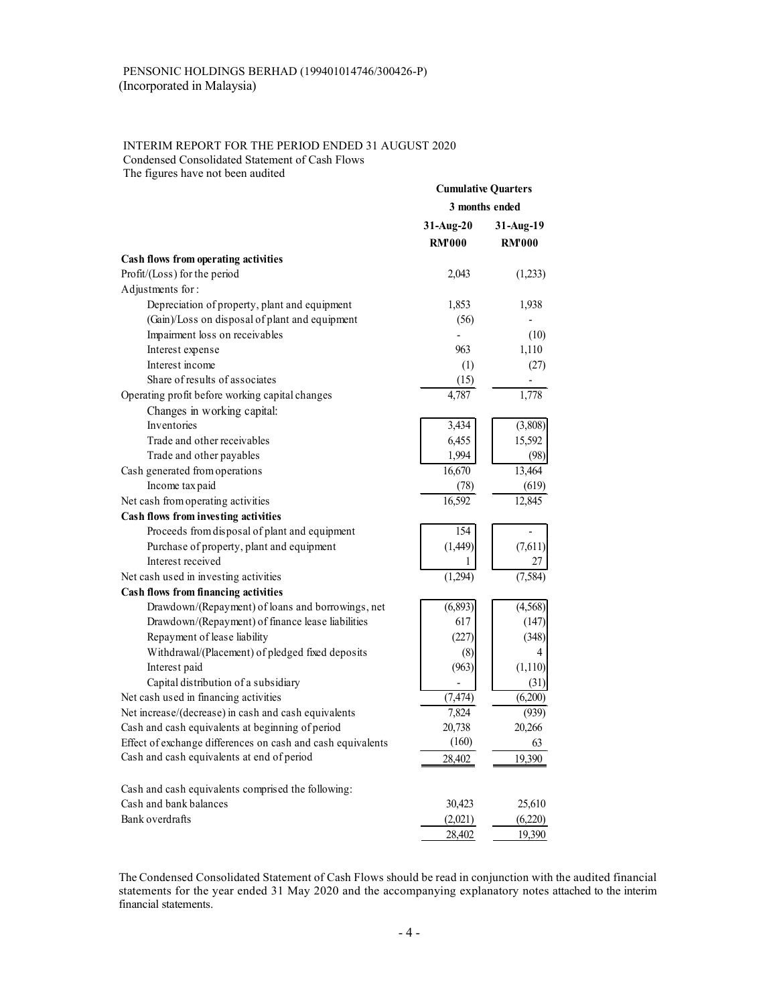# INTERIM REPORT FOR THE PERIOD ENDED 31 AUGUST 2020 Condensed Consolidated Statement of Cash Flows

| PENSONIC HOLDINGS BERHAD (199401014746/300426-P)                                                                |                            |                   |
|-----------------------------------------------------------------------------------------------------------------|----------------------------|-------------------|
| (Incorporated in Malaysia)                                                                                      |                            |                   |
|                                                                                                                 |                            |                   |
|                                                                                                                 |                            |                   |
|                                                                                                                 |                            |                   |
| <b>INTERIM REPORT FOR THE PERIOD ENDED 31 AUGUST 2020</b><br>Condensed Consolidated Statement of Cash Flows     |                            |                   |
| The figures have not been audited                                                                               |                            |                   |
|                                                                                                                 | <b>Cumulative Quarters</b> |                   |
|                                                                                                                 | 3 months ended             |                   |
|                                                                                                                 | 31-Aug-20                  | 31-Aug-19         |
|                                                                                                                 | <b>RM'000</b>              | <b>RM'000</b>     |
| Cash flows from operating activities                                                                            |                            |                   |
| Profit/(Loss) for the period                                                                                    | 2,043                      | (1,233)           |
| Adjustments for:                                                                                                |                            |                   |
| Depreciation of property, plant and equipment                                                                   | 1,853                      | 1,938             |
| (Gain)/Loss on disposal of plant and equipment                                                                  | (56)                       |                   |
| Impairment loss on receivables                                                                                  |                            | (10)              |
| Interest expense<br>Interest income                                                                             | 963                        | 1,110             |
| Share of results of associates                                                                                  | (1)<br>(15)                | (27)              |
| Operating profit before working capital changes                                                                 | 4,787                      | 1,778             |
| Changes in working capital:                                                                                     |                            |                   |
| <b>Inventories</b>                                                                                              | 3,434                      | (3,808)           |
| Trade and other receivables                                                                                     | 6,455                      | 15,592            |
| Trade and other payables                                                                                        | 1,994                      | (98)              |
| Cash generated from operations                                                                                  | 16,670                     | 13,464            |
| Income tax paid                                                                                                 | (78)<br>16,592             | (619)<br>12,845   |
| Net cash from operating activities<br>Cash flows from investing activities                                      |                            |                   |
| Proceeds from disposal of plant and equipment                                                                   | 154                        |                   |
| Purchase of property, plant and equipment                                                                       | (1,449)                    | (7,611)           |
| Interest received                                                                                               |                            | 27                |
| Net cash used in investing activities                                                                           | (1,294)                    | (7,584)           |
| Cash flows from financing activities                                                                            |                            |                   |
| Drawdown/(Repayment) of loans and borrowings, net<br>Drawdown/(Repayment) of finance lease liabilities          | (6,893)<br>617             | (4, 568)<br>(147) |
| Repayment of lease liability                                                                                    | (227)                      | (348)             |
| Withdrawal/(Placement) of pledged fixed deposits                                                                | (8)                        | 4                 |
| Interest paid                                                                                                   | (963)                      | (1,110)           |
| Capital distribution of a subsidiary                                                                            | $\overline{\phantom{a}}$   | (31)              |
| Net cash used in financing activities                                                                           | (7, 474)                   | (6,200)           |
| Net increase/(decrease) in cash and cash equivalents                                                            | 7,824                      | (939)             |
| Cash and cash equivalents at beginning of period<br>Effect of exchange differences on cash and cash equivalents | 20,738<br>(160)            | 20,266<br>63      |
| Cash and cash equivalents at end of period                                                                      | 28,402                     | 19,390            |
|                                                                                                                 |                            |                   |
| Cash and cash equivalents comprised the following:<br>Cash and bank balances                                    |                            |                   |
| Bank overdrafts                                                                                                 | 30,423<br>(2,021)          | 25,610<br>(6,220) |
|                                                                                                                 | 28,402                     | 19,390            |
|                                                                                                                 |                            |                   |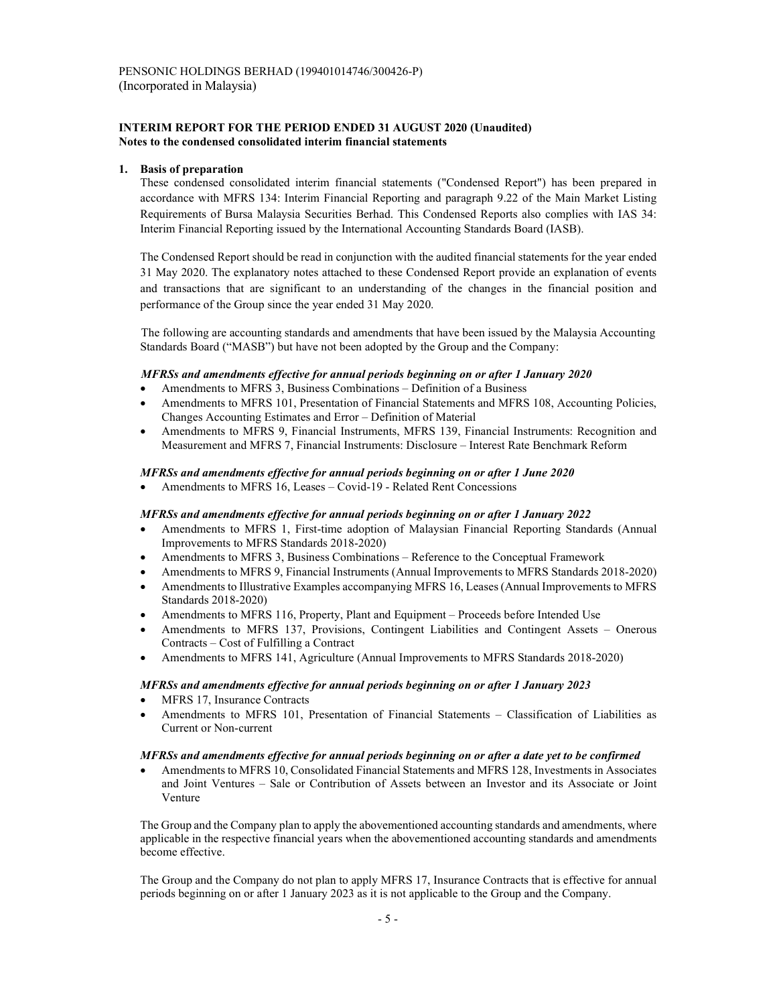### INTERIM REPORT FOR THE PERIOD ENDED 31 AUGUST 2020 (Unaudited) Notes to the condensed consolidated interim financial statements

### 1. Basis of preparation

These condensed consolidated interim financial statements ("Condensed Report") has been prepared in accordance with MFRS 134: Interim Financial Reporting and paragraph 9.22 of the Main Market Listing Requirements of Bursa Malaysia Securities Berhad. This Condensed Reports also complies with IAS 34: Interim Financial Reporting issued by the International Accounting Standards Board (IASB).

The Condensed Report should be read in conjunction with the audited financial statements for the year ended 31 May 2020. The explanatory notes attached to these Condensed Report provide an explanation of events and transactions that are significant to an understanding of the changes in the financial position and performance of the Group since the year ended 31 May 2020.

The following are accounting standards and amendments that have been issued by the Malaysia Accounting Standards Board ("MASB") but have not been adopted by the Group and the Company:

#### MFRSs and amendments effective for annual periods beginning on or after 1 January 2020

- Amendments to MFRS 3, Business Combinations Definition of a Business
- Amendments to MFRS 101, Presentation of Financial Statements and MFRS 108, Accounting Policies, Changes Accounting Estimates and Error – Definition of Material
- Amendments to MFRS 9, Financial Instruments, MFRS 139, Financial Instruments: Recognition and Measurement and MFRS 7, Financial Instruments: Disclosure – Interest Rate Benchmark Reform

### MFRSs and amendments effective for annual periods beginning on or after 1 June 2020

• Amendments to MFRS 16, Leases – Covid-19 - Related Rent Concessions

#### MFRSs and amendments effective for annual periods beginning on or after 1 January 2022

- Amendments to MFRS 1, First-time adoption of Malaysian Financial Reporting Standards (Annual Improvements to MFRS Standards 2018-2020)
- Amendments to MFRS 3, Business Combinations Reference to the Conceptual Framework
- Amendments to MFRS 9, Financial Instruments (Annual Improvements to MFRS Standards 2018-2020)
- Amendments to Illustrative Examples accompanying MFRS 16, Leases (Annual Improvements to MFRS Standards 2018-2020)
- Amendments to MFRS 116, Property, Plant and Equipment Proceeds before Intended Use
- Amendments to MFRS 137, Provisions, Contingent Liabilities and Contingent Assets Onerous Contracts – Cost of Fulfilling a Contract
- Amendments to MFRS 141, Agriculture (Annual Improvements to MFRS Standards 2018-2020)

#### MFRSs and amendments effective for annual periods beginning on or after 1 January 2023

- MFRS 17, Insurance Contracts
- Amendments to MFRS 101, Presentation of Financial Statements Classification of Liabilities as Current or Non-current

#### MFRSs and amendments effective for annual periods beginning on or after a date yet to be confirmed

 Amendments to MFRS 10, Consolidated Financial Statements and MFRS 128, Investments in Associates and Joint Ventures – Sale or Contribution of Assets between an Investor and its Associate or Joint Venture

The Group and the Company plan to apply the abovementioned accounting standards and amendments, where applicable in the respective financial years when the abovementioned accounting standards and amendments become effective.

The Group and the Company do not plan to apply MFRS 17, Insurance Contracts that is effective for annual periods beginning on or after 1 January 2023 as it is not applicable to the Group and the Company.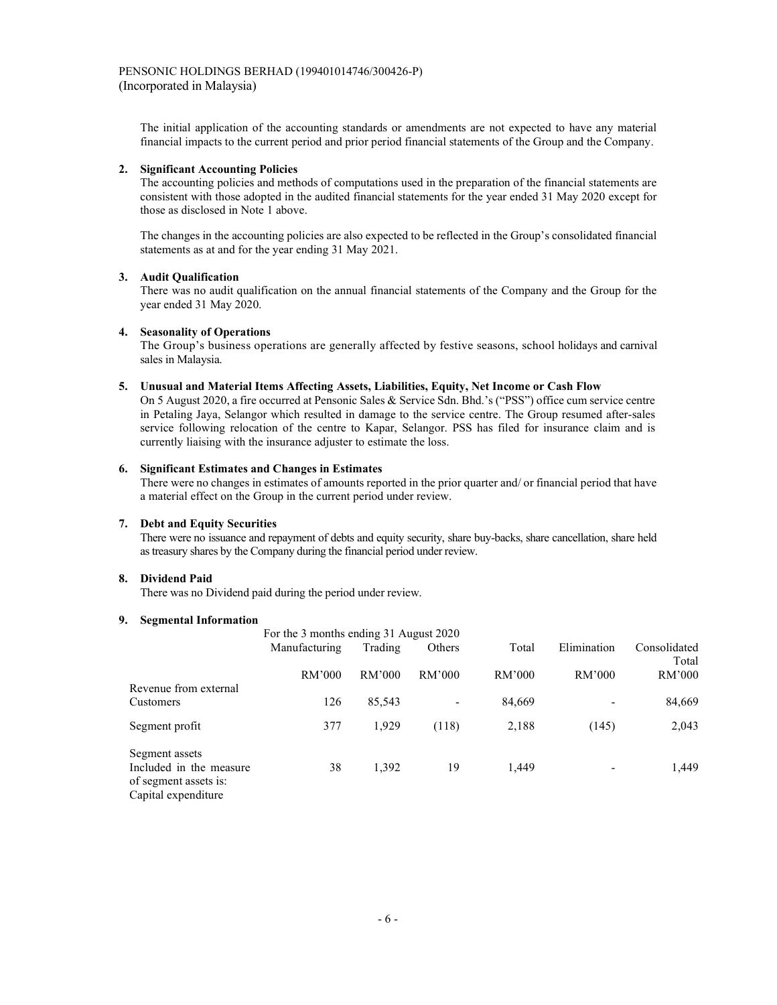The initial application of the accounting standards or amendments are not expected to have any material financial impacts to the current period and prior period financial statements of the Group and the Company.

#### 2. Significant Accounting Policies

The accounting policies and methods of computations used in the preparation of the financial statements are consistent with those adopted in the audited financial statements for the year ended 31 May 2020 except for those as disclosed in Note 1 above.

The changes in the accounting policies are also expected to be reflected in the Group's consolidated financial statements as at and for the year ending 31 May 2021.

### 3. Audit Qualification

 There was no audit qualification on the annual financial statements of the Company and the Group for the year ended 31 May 2020.

#### 4. Seasonality of Operations

 The Group's business operations are generally affected by festive seasons, school holidays and carnival sales in Malaysia.

#### 5. Unusual and Material Items Affecting Assets, Liabilities, Equity, Net Income or Cash Flow

On 5 August 2020, a fire occurred at Pensonic Sales & Service Sdn. Bhd.'s ("PSS") office cum service centre in Petaling Jaya, Selangor which resulted in damage to the service centre. The Group resumed after-sales service following relocation of the centre to Kapar, Selangor. PSS has filed for insurance claim and is currently liaising with the insurance adjuster to estimate the loss.

#### 6. Significant Estimates and Changes in Estimates

There were no changes in estimates of amounts reported in the prior quarter and/ or financial period that have a material effect on the Group in the current period under review.

## 7. Debt and Equity Securities

There were no issuance and repayment of debts and equity security, share buy-backs, share cancellation, share held as treasury shares by the Company during the financial period under review.

#### 8. Dividend Paid

There was no Dividend paid during the period under review.

#### 9. Segmental Information

| эершеніаі ішогшаноп                              |                                        |         |        |        |                          |                       |
|--------------------------------------------------|----------------------------------------|---------|--------|--------|--------------------------|-----------------------|
|                                                  | For the 3 months ending 31 August 2020 |         |        |        |                          |                       |
|                                                  | Manufacturing                          | Trading | Others | Total  | Elimination              | Consolidated<br>Total |
|                                                  | RM'000                                 | RM'000  | RM'000 | RM'000 | RM'000                   | RM'000                |
| Revenue from external                            |                                        |         |        |        |                          |                       |
| <b>Customers</b>                                 | 126                                    | 85,543  |        | 84,669 |                          | 84,669                |
| Segment profit                                   | 377                                    | 1,929   | (118)  | 2,188  | (145)                    | 2,043                 |
| Segment assets                                   |                                        |         |        |        |                          |                       |
| Included in the measure<br>of segment assets is: | 38                                     | 1,392   | 19     | 1,449  | $\overline{\phantom{a}}$ | 1,449                 |
| Capital expenditure                              |                                        |         |        |        |                          |                       |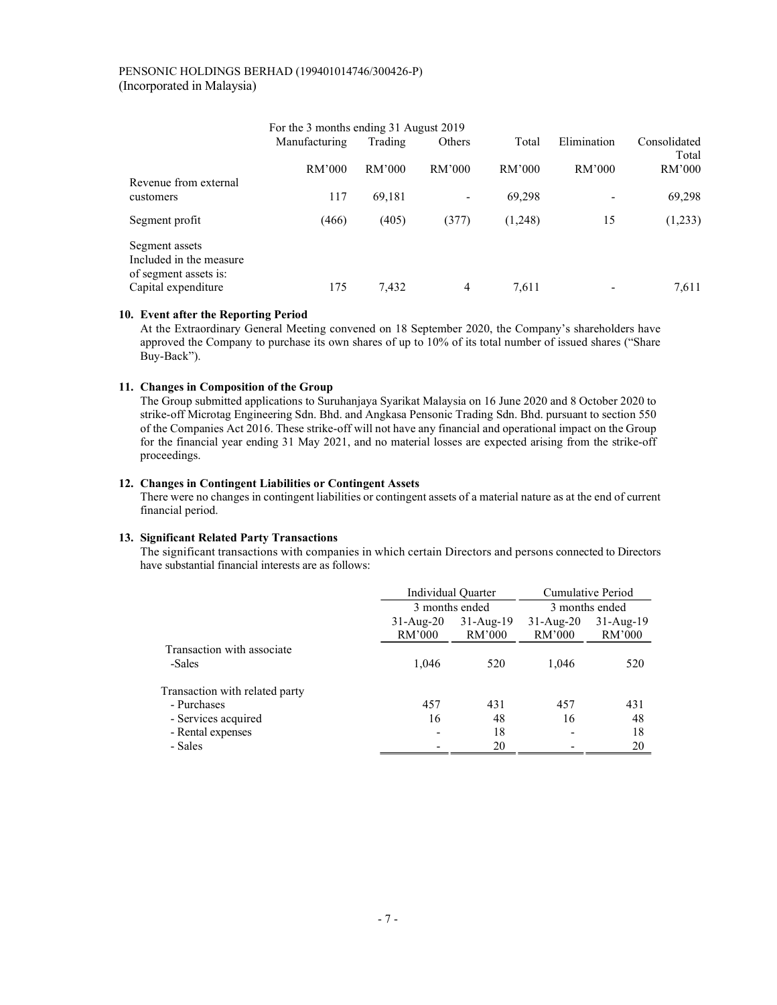|                                                                    | For the 3 months ending 31 August 2019 |         |                          |         |             |                       |
|--------------------------------------------------------------------|----------------------------------------|---------|--------------------------|---------|-------------|-----------------------|
|                                                                    | Manufacturing                          | Trading | Others                   | Total   | Elimination | Consolidated<br>Total |
| Revenue from external                                              | RM'000                                 | RM'000  | RM'000                   | RM'000  | RM'000      | RM'000                |
| customers                                                          | 117                                    | 69,181  | $\overline{\phantom{0}}$ | 69,298  |             | 69,298                |
| Segment profit                                                     | (466)                                  | (405)   | (377)                    | (1,248) | 15          | (1,233)               |
| Segment assets<br>Included in the measure<br>of segment assets is: |                                        |         |                          |         |             |                       |
| Capital expenditure                                                | 175                                    | 7.432   | 4                        | 7.611   |             | 7,611                 |

### 10. Event after the Reporting Period

At the Extraordinary General Meeting convened on 18 September 2020, the Company's shareholders have approved the Company to purchase its own shares of up to 10% of its total number of issued shares ("Share Buy-Back").

# 11. Changes in Composition of the Group

The Group submitted applications to Suruhanjaya Syarikat Malaysia on 16 June 2020 and 8 October 2020 to strike-off Microtag Engineering Sdn. Bhd. and Angkasa Pensonic Trading Sdn. Bhd. pursuant to section 550 of the Companies Act 2016. These strike-off will not have any financial and operational impact on the Group for the financial year ending 31 May 2021, and no material losses are expected arising from the strike-off proceedings.

# 12. Changes in Contingent Liabilities or Contingent Assets

There were no changes in contingent liabilities or contingent assets of a material nature as at the end of current financial period.

### 13. Significant Related Party Transactions

The significant transactions with companies in which certain Directors and persons connected to Directors have substantial financial interests are as follows:

|                                | Individual Quarter        |                         |                       | Cumulative Period       |
|--------------------------------|---------------------------|-------------------------|-----------------------|-------------------------|
|                                | 3 months ended            |                         |                       | 3 months ended          |
|                                | $31$ -Aug- $20$<br>RM'000 | $31 - Aug-19$<br>RM'000 | $31-Aug-20$<br>RM'000 | $31 - Aug-19$<br>RM'000 |
| Transaction with associate     |                           |                         |                       |                         |
| -Sales                         | 1,046                     | 520                     | 1,046                 | 520                     |
| Transaction with related party |                           |                         |                       |                         |
| - Purchases                    | 457                       | 431                     | 457                   | 431                     |
| - Services acquired            | 16                        | 48                      | 16                    | 48                      |
| - Rental expenses              |                           | 18                      |                       | 18                      |
| - Sales                        |                           | 20                      |                       | 20                      |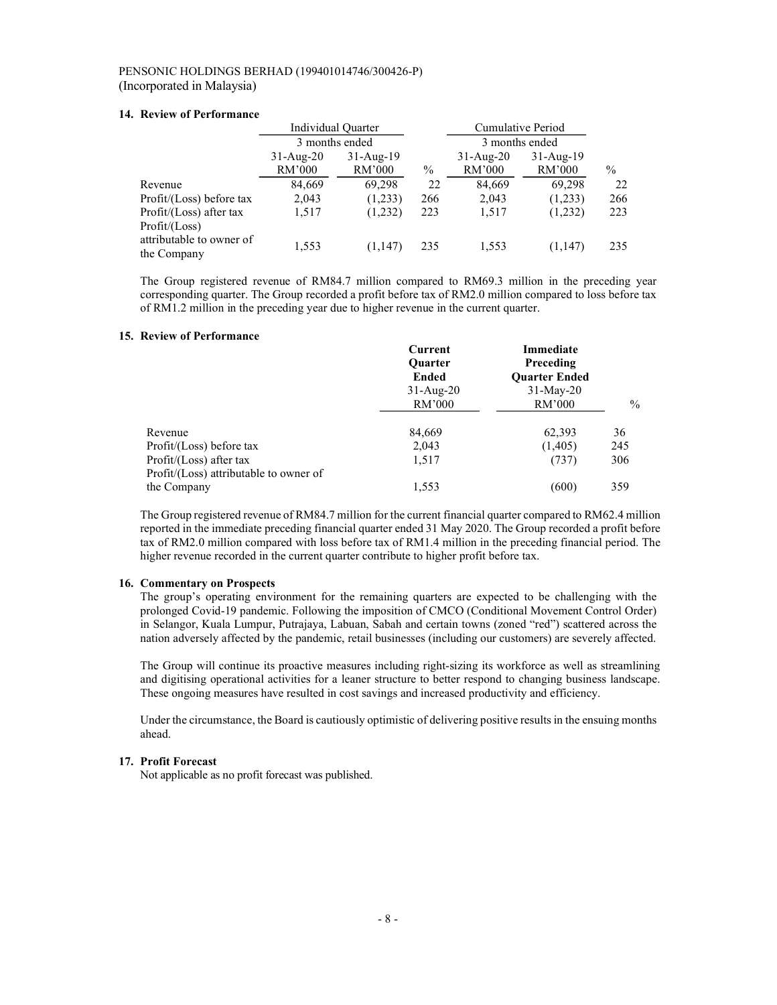### 14. Review of Performance

|                                            | Individual Quarter    |                       |      | Cumulative Period     |                         |      |
|--------------------------------------------|-----------------------|-----------------------|------|-----------------------|-------------------------|------|
|                                            | 3 months ended        |                       |      | 3 months ended        |                         |      |
|                                            | $31-Aug-20$<br>RM'000 | $31-Aug-19$<br>RM'000 | $\%$ | $31-Aug-20$<br>RM'000 | $31 - Aug-19$<br>RM'000 | $\%$ |
| Revenue                                    | 84,669                | 69,298                | 22   | 84,669                | 69.298                  | 22   |
| Profit/(Loss) before tax                   | 2,043                 | (1,233)               | 266  | 2,043                 | (1,233)                 | 266  |
| Profit/(Loss) after tax<br>Profit / (Loss) | 1,517                 | (1,232)               | 223  | 1,517                 | (1,232)                 | 223  |
| attributable to owner of<br>the Company    | 1,553                 | (1,147)               | 235  | 1,553                 | (1,147)                 | 235  |

The Group registered revenue of RM84.7 million compared to RM69.3 million in the preceding year corresponding quarter. The Group recorded a profit before tax of RM2.0 million compared to loss before tax of RM1.2 million in the preceding year due to higher revenue in the current quarter.

# 15. Review of Performance

|                                        | Current        | Immediate            |               |
|----------------------------------------|----------------|----------------------|---------------|
|                                        | <b>Ouarter</b> | Preceding            |               |
|                                        | <b>Ended</b>   | <b>Ouarter Ended</b> |               |
|                                        | $31-Aug-20$    | $31$ -May-20         |               |
|                                        | RM'000         | RM'000               | $\frac{0}{0}$ |
| Revenue                                | 84,669         | 62,393               | 36            |
| Profit/(Loss) before tax               | 2,043          | (1,405)              | 245           |
| Profit/(Loss) after tax                | 1,517          | (737)                | 306           |
| Profit/(Loss) attributable to owner of |                |                      |               |
| the Company                            | 1,553          | (600)                | 359           |

The Group registered revenue of RM84.7 million for the current financial quarter compared to RM62.4 million reported in the immediate preceding financial quarter ended 31 May 2020. The Group recorded a profit before tax of RM2.0 million compared with loss before tax of RM1.4 million in the preceding financial period. The higher revenue recorded in the current quarter contribute to higher profit before tax.

## 16. Commentary on Prospects

The group's operating environment for the remaining quarters are expected to be challenging with the prolonged Covid-19 pandemic. Following the imposition of CMCO (Conditional Movement Control Order) in Selangor, Kuala Lumpur, Putrajaya, Labuan, Sabah and certain towns (zoned "red") scattered across the nation adversely affected by the pandemic, retail businesses (including our customers) are severely affected.

The Group will continue its proactive measures including right-sizing its workforce as well as streamlining and digitising operational activities for a leaner structure to better respond to changing business landscape. These ongoing measures have resulted in cost savings and increased productivity and efficiency.

Under the circumstance, the Board is cautiously optimistic of delivering positive results in the ensuing months ahead.

# 17. Profit Forecast

Not applicable as no profit forecast was published.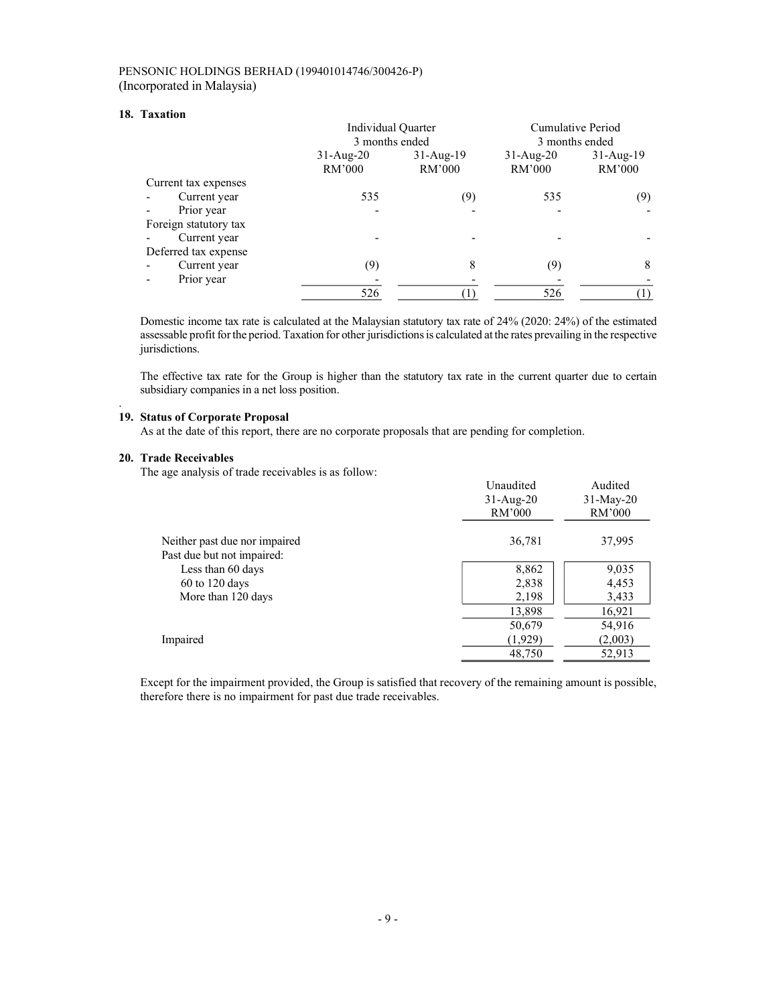### 18. Taxation

|                       | Individual Quarter    |                         | Cumulative Period     |                         |  |
|-----------------------|-----------------------|-------------------------|-----------------------|-------------------------|--|
|                       | 3 months ended        |                         | 3 months ended        |                         |  |
|                       | $31-Aug-20$<br>RM'000 | $31 - Aug-19$<br>RM'000 | $31-Aug-20$<br>RM'000 | $31 - Aug-19$<br>RM'000 |  |
| Current tax expenses  |                       |                         |                       |                         |  |
| Current year          | 535                   | (9)                     | 535                   | (9)                     |  |
| Prior year            |                       |                         |                       |                         |  |
| Foreign statutory tax |                       |                         |                       |                         |  |
| Current year          |                       |                         |                       |                         |  |
| Deferred tax expense  |                       |                         |                       |                         |  |
| Current year          | (9)                   | 8                       | (9)                   | 8                       |  |
| Prior year            |                       |                         |                       |                         |  |
|                       | 526                   |                         | 526                   |                         |  |

Domestic income tax rate is calculated at the Malaysian statutory tax rate of 24% (2020: 24%) of the estimated assessable profit for the period. Taxation for other jurisdictions is calculated at the rates prevailing in the respective jurisdictions.

The effective tax rate for the Group is higher than the statutory tax rate in the current quarter due to certain subsidiary companies in a net loss position.

# 19. Status of Corporate Proposal

As at the date of this report, there are no corporate proposals that are pending for completion.

#### 20. Trade Receivables

.

The age analysis of trade receivables is as follow:

| $m = 0$ where $1000$<br>$\frac{1}{2}$ and $\frac{1}{2}$ are $\frac{1}{2}$ and $\frac{1}{2}$ are $\frac{1}{2}$ and $\frac{1}{2}$ are $\frac{1}{2}$ and $\frac{1}{2}$ are $\frac{1}{2}$ | Unaudited<br>$31-Aug-20$<br>RM'000 | Audited<br>$31-May-20$<br>RM'000 |
|---------------------------------------------------------------------------------------------------------------------------------------------------------------------------------------|------------------------------------|----------------------------------|
| Neither past due nor impaired                                                                                                                                                         | 36,781                             | 37,995                           |
| Past due but not impaired:                                                                                                                                                            |                                    |                                  |
| Less than 60 days                                                                                                                                                                     | 8,862                              | 9,035                            |
| $60$ to 120 days                                                                                                                                                                      | 2,838                              | 4,453                            |
| More than 120 days                                                                                                                                                                    | 2,198                              | 3,433                            |
|                                                                                                                                                                                       | 13,898                             | 16,921                           |
|                                                                                                                                                                                       | 50,679                             | 54,916                           |
| Impaired                                                                                                                                                                              | (1,929)                            | (2,003)                          |
|                                                                                                                                                                                       | 48,750                             | 52,913                           |

Except for the impairment provided, the Group is satisfied that recovery of the remaining amount is possible, therefore there is no impairment for past due trade receivables.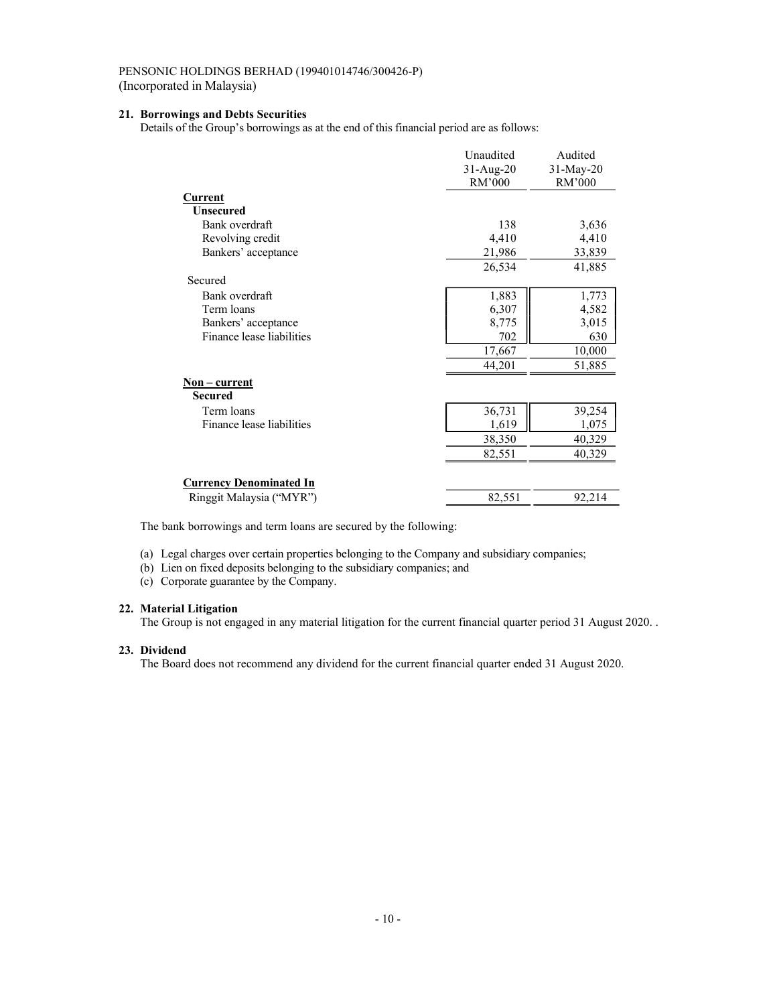# 21. Borrowings and Debts Securities

Details of the Group's borrowings as at the end of this financial period are as follows:

|                                | Unaudited   | Audited   |
|--------------------------------|-------------|-----------|
|                                | $31-Aug-20$ | 31-May-20 |
|                                | RM'000      | RM'000    |
| Current                        |             |           |
| <b>Unsecured</b>               |             |           |
| Bank overdraft                 | 138         | 3,636     |
| Revolving credit               | 4,410       | 4,410     |
| Bankers' acceptance            | 21,986      | 33,839    |
|                                | 26,534      | 41,885    |
| Secured                        |             |           |
| Bank overdraft                 | 1,883       | 1,773     |
| Term loans                     | 6,307       | 4,582     |
| Bankers' acceptance            | 8,775       | 3,015     |
| Finance lease liabilities      | 702         | 630       |
|                                | 17,667      | 10,000    |
|                                | 44,201      | 51,885    |
| <u>Non – current</u>           |             |           |
| <b>Secured</b>                 |             |           |
| Term loans                     | 36,731      | 39,254    |
| Finance lease liabilities      | 1,619       | 1,075     |
|                                | 38,350      | 40,329    |
|                                | 82,551      | 40,329    |
|                                |             |           |
| <b>Currency Denominated In</b> |             |           |
| Ringgit Malaysia ("MYR")       | 82,551      | 92,214    |

The bank borrowings and term loans are secured by the following:

(a) Legal charges over certain properties belonging to the Company and subsidiary companies;

(b) Lien on fixed deposits belonging to the subsidiary companies; and

(c) Corporate guarantee by the Company.

# 22. Material Litigation

The Group is not engaged in any material litigation for the current financial quarter period 31 August 2020. .

# 23. Dividend

The Board does not recommend any dividend for the current financial quarter ended 31 August 2020.